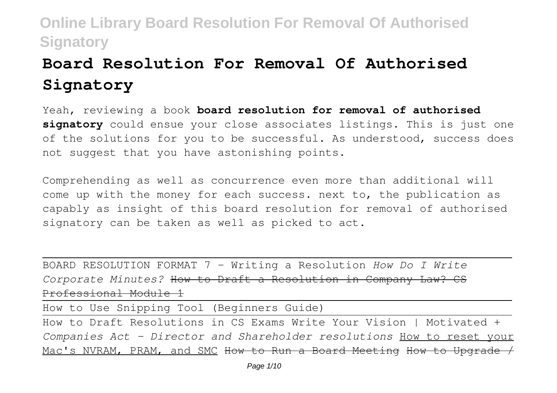# **Board Resolution For Removal Of Authorised Signatory**

Yeah, reviewing a book **board resolution for removal of authorised signatory** could ensue your close associates listings. This is just one of the solutions for you to be successful. As understood, success does not suggest that you have astonishing points.

Comprehending as well as concurrence even more than additional will come up with the money for each success. next to, the publication as capably as insight of this board resolution for removal of authorised signatory can be taken as well as picked to act.

BOARD RESOLUTION FORMAT 7 - Writing a Resolution *How Do I Write Corporate Minutes?* How to Draft a Resolution in Company Law? CS Professional Module 1

How to Use Snipping Tool (Beginners Guide)

How to Draft Resolutions in CS Exams Write Your Vision | Motivated + *Companies Act - Director and Shareholder resolutions* How to reset your Mac's NVRAM, PRAM, and SMC How to Run a Board Meeting How to Upgrade /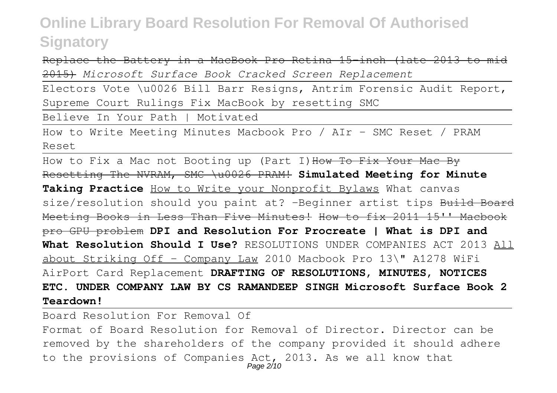Replace the Battery in a MacBook Pro Retina 15-inch (late 2013 to mid 2015) *Microsoft Surface Book Cracked Screen Replacement*

Electors Vote \u0026 Bill Barr Resigns, Antrim Forensic Audit Report, Supreme Court Rulings Fix MacBook by resetting SMC

Believe In Your Path | Motivated

How to Write Meeting Minutes Macbook Pro / AIr - SMC Reset / PRAM Reset

How to Fix a Mac not Booting up (Part I) How To Fix Your Mac By Resetting The NVRAM, SMC \u0026 PRAM! **Simulated Meeting for Minute Taking Practice** How to Write your Nonprofit Bylaws What canvas size/resolution should you paint at? -Beginner artist tips Build Board Meeting Books in Less Than Five Minutes! How to fix 2011 15'' Macbook pro GPU problem **DPI and Resolution For Procreate | What is DPI and What Resolution Should I Use?** RESOLUTIONS UNDER COMPANIES ACT 2013 All about Striking Off - Company Law 2010 Macbook Pro 13\" A1278 WiFi AirPort Card Replacement **DRAFTING OF RESOLUTIONS, MINUTES, NOTICES ETC. UNDER COMPANY LAW BY CS RAMANDEEP SINGH Microsoft Surface Book 2 Teardown!**

Board Resolution For Removal Of Format of Board Resolution for Removal of Director. Director can be removed by the shareholders of the company provided it should adhere to the provisions of Companies Act, 2013. As we all know that Page 2/10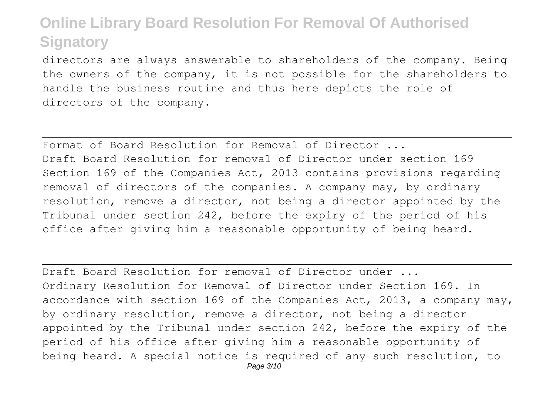directors are always answerable to shareholders of the company. Being the owners of the company, it is not possible for the shareholders to handle the business routine and thus here depicts the role of directors of the company.

Format of Board Resolution for Removal of Director ... Draft Board Resolution for removal of Director under section 169 Section 169 of the Companies Act, 2013 contains provisions regarding removal of directors of the companies. A company may, by ordinary resolution, remove a director, not being a director appointed by the Tribunal under section 242, before the expiry of the period of his office after giving him a reasonable opportunity of being heard.

Draft Board Resolution for removal of Director under ... Ordinary Resolution for Removal of Director under Section 169. In accordance with section 169 of the Companies Act, 2013, a company may, by ordinary resolution, remove a director, not being a director appointed by the Tribunal under section 242, before the expiry of the period of his office after giving him a reasonable opportunity of being heard. A special notice is required of any such resolution, to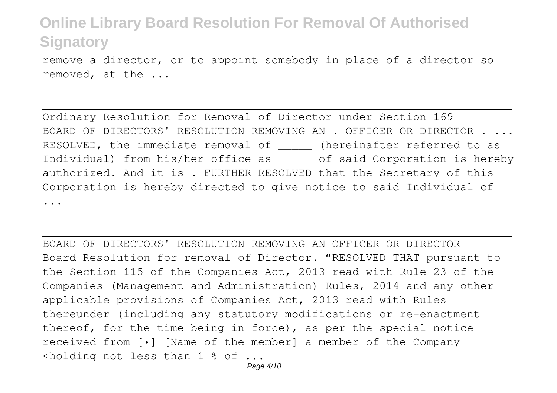remove a director, or to appoint somebody in place of a director so removed, at the ...

Ordinary Resolution for Removal of Director under Section 169 BOARD OF DIRECTORS' RESOLUTION REMOVING AN . OFFICER OR DIRECTOR . ... RESOLVED, the immediate removal of  $\qquad$  (hereinafter referred to as Individual) from his/her office as \_\_\_\_\_ of said Corporation is hereby authorized. And it is . FURTHER RESOLVED that the Secretary of this Corporation is hereby directed to give notice to said Individual of ...

BOARD OF DIRECTORS' RESOLUTION REMOVING AN OFFICER OR DIRECTOR Board Resolution for removal of Director. "RESOLVED THAT pursuant to the Section 115 of the Companies Act, 2013 read with Rule 23 of the Companies (Management and Administration) Rules, 2014 and any other applicable provisions of Companies Act, 2013 read with Rules thereunder (including any statutory modifications or re-enactment thereof, for the time being in force), as per the special notice received from [•] [Name of the member] a member of the Company <holding not less than 1 % of ...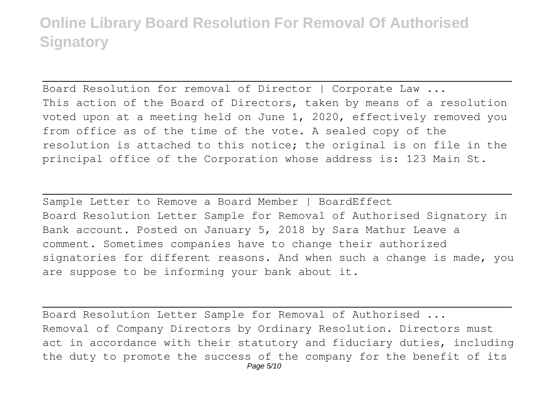Board Resolution for removal of Director | Corporate Law ... This action of the Board of Directors, taken by means of a resolution voted upon at a meeting held on June 1, 2020, effectively removed you from office as of the time of the vote. A sealed copy of the resolution is attached to this notice; the original is on file in the principal office of the Corporation whose address is: 123 Main St.

Sample Letter to Remove a Board Member | BoardEffect Board Resolution Letter Sample for Removal of Authorised Signatory in Bank account. Posted on January 5, 2018 by Sara Mathur Leave a comment. Sometimes companies have to change their authorized signatories for different reasons. And when such a change is made, you are suppose to be informing your bank about it.

Board Resolution Letter Sample for Removal of Authorised ... Removal of Company Directors by Ordinary Resolution. Directors must act in accordance with their statutory and fiduciary duties, including the duty to promote the success of the company for the benefit of its Page 5/10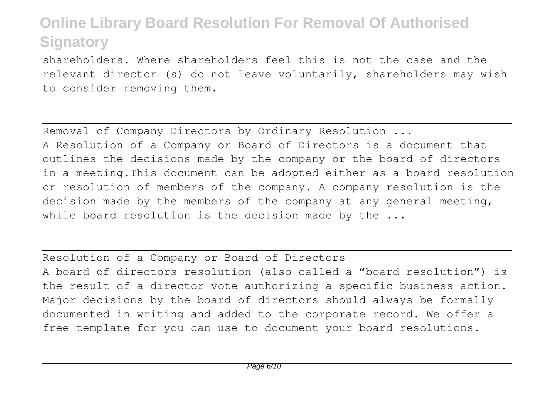shareholders. Where shareholders feel this is not the case and the relevant director (s) do not leave voluntarily, shareholders may wish to consider removing them.

Removal of Company Directors by Ordinary Resolution ... A Resolution of a Company or Board of Directors is a document that outlines the decisions made by the company or the board of directors in a meeting.This document can be adopted either as a board resolution or resolution of members of the company. A company resolution is the decision made by the members of the company at any general meeting, while board resolution is the decision made by the ...

Resolution of a Company or Board of Directors A board of directors resolution (also called a "board resolution") is the result of a director vote authorizing a specific business action. Major decisions by the board of directors should always be formally documented in writing and added to the corporate record. We offer a free template for you can use to document your board resolutions.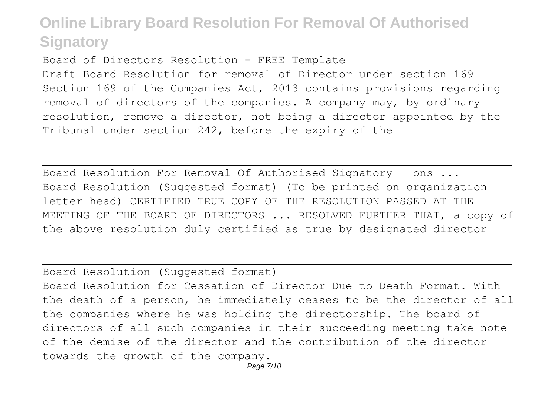Board of Directors Resolution – FREE Template Draft Board Resolution for removal of Director under section 169 Section 169 of the Companies Act, 2013 contains provisions regarding removal of directors of the companies. A company may, by ordinary resolution, remove a director, not being a director appointed by the Tribunal under section 242, before the expiry of the

Board Resolution For Removal Of Authorised Signatory | ons ... Board Resolution (Suggested format) (To be printed on organization letter head) CERTIFIED TRUE COPY OF THE RESOLUTION PASSED AT THE MEETING OF THE BOARD OF DIRECTORS ... RESOLVED FURTHER THAT, a copy of the above resolution duly certified as true by designated director

Board Resolution (Suggested format)

Board Resolution for Cessation of Director Due to Death Format. With the death of a person, he immediately ceases to be the director of all the companies where he was holding the directorship. The board of directors of all such companies in their succeeding meeting take note of the demise of the director and the contribution of the director towards the growth of the company.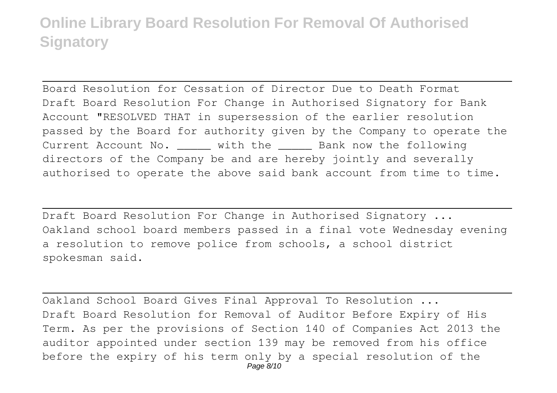Board Resolution for Cessation of Director Due to Death Format Draft Board Resolution For Change in Authorised Signatory for Bank Account "RESOLVED THAT in supersession of the earlier resolution passed by the Board for authority given by the Company to operate the Current Account No.  $\qquad$  with the  $\qquad$  Bank now the following directors of the Company be and are hereby jointly and severally authorised to operate the above said bank account from time to time.

Draft Board Resolution For Change in Authorised Signatory ... Oakland school board members passed in a final vote Wednesday evening a resolution to remove police from schools, a school district spokesman said.

Oakland School Board Gives Final Approval To Resolution ... Draft Board Resolution for Removal of Auditor Before Expiry of His Term. As per the provisions of Section 140 of Companies Act 2013 the auditor appointed under section 139 may be removed from his office before the expiry of his term only by a special resolution of the Page 8/10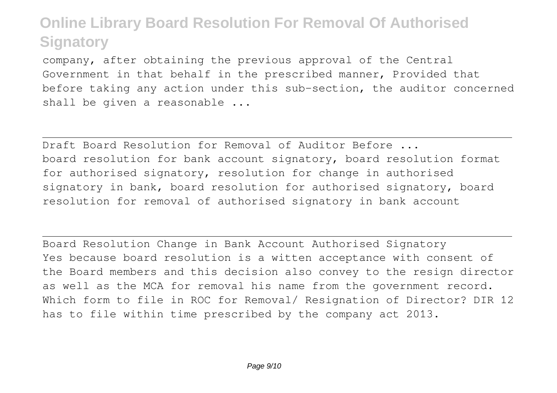company, after obtaining the previous approval of the Central Government in that behalf in the prescribed manner, Provided that before taking any action under this sub-section, the auditor concerned shall be given a reasonable ...

Draft Board Resolution for Removal of Auditor Before ... board resolution for bank account signatory, board resolution format for authorised signatory, resolution for change in authorised signatory in bank, board resolution for authorised signatory, board resolution for removal of authorised signatory in bank account

Board Resolution Change in Bank Account Authorised Signatory Yes because board resolution is a witten acceptance with consent of the Board members and this decision also convey to the resign director as well as the MCA for removal his name from the government record. Which form to file in ROC for Removal/ Resignation of Director? DIR 12 has to file within time prescribed by the company act 2013.